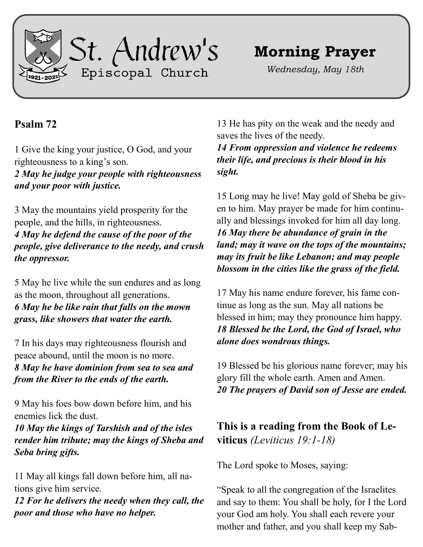

## **Morning Prayer**

*Wednesday, May 18th*

## **Psalm 72**

1 Give the king your justice, O God, and your righteousness to a king's son.

*2 May he judge your people with righteousness and your poor with justice.*

3 May the mountains yield prosperity for the people, and the hills, in righteousness. *4 May he defend the cause of the poor of the people, give deliverance to the needy, and crush the oppressor.*

5 May he live while the sun endures and as long as the moon, throughout all generations. *6 May he be like rain that falls on the mown grass, like showers that water the earth.*

7 In his days may righteousness flourish and peace abound, until the moon is no more. *8 May he have dominion from sea to sea and from the River to the ends of the earth.*

9 May his foes bow down before him, and his enemies lick the dust.

*10 May the kings of Tarshish and of the isles render him tribute; may the kings of Sheba and Seba bring gifts.*

11 May all kings fall down before him, all nations give him service.

*12 For he delivers the needy when they call, the poor and those who have no helper.*

13 He has pity on the weak and the needy and saves the lives of the needy.

*14 From oppression and violence he redeems their life, and precious is their blood in his sight.*

15 Long may he live! May gold of Sheba be given to him. May prayer be made for him continually and blessings invoked for him all day long. *16 May there be abundance of grain in the land; may it wave on the tops of the mountains; may its fruit be like Lebanon; and may people blossom in the cities like the grass of the field.*

17 May his name endure forever, his fame continue as long as the sun. May all nations be blessed in him; may they pronounce him happy. *18 Blessed be the Lord, the God of Israel, who alone does wondrous things.*

19 Blessed be his glorious name forever; may his glory fill the whole earth. Amen and Amen. *20 The prayers of David son of Jesse are ended.*

**This is a reading from the Book of Leviticus** *(Leviticus 19:1-18)*

The Lord spoke to Moses, saying:

"Speak to all the congregation of the Israelites and say to them: You shall be holy, for I the Lord your God am holy. You shall each revere your mother and father, and you shall keep my Sab